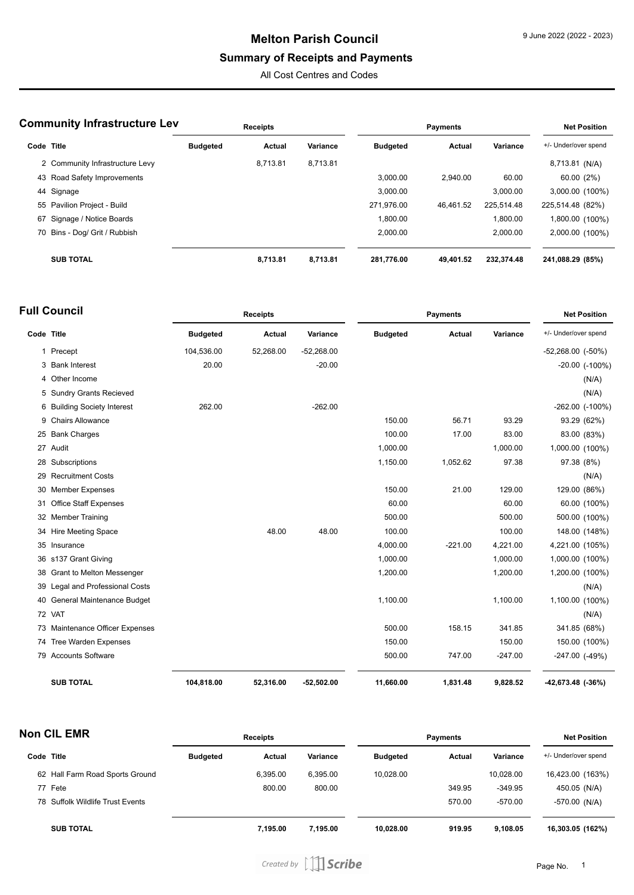# **Melton Parish Council**

## **Summary of Receipts and Payments**

All Cost Centres and Codes

| <b>Community Infrastructure Lev</b> |                                 | <b>Receipts</b> |          |          |                 | <b>Net Position</b> |            |                      |
|-------------------------------------|---------------------------------|-----------------|----------|----------|-----------------|---------------------|------------|----------------------|
| Code Title                          |                                 | <b>Budgeted</b> | Actual   | Variance | <b>Budgeted</b> | Actual              | Variance   | +/- Under/over spend |
|                                     | 2 Community Infrastructure Levy |                 | 8.713.81 | 8,713.81 |                 |                     |            | 8,713.81 (N/A)       |
|                                     | 43 Road Safety Improvements     |                 |          |          | 3.000.00        | 2.940.00            | 60.00      | 60.00 (2%)           |
|                                     | 44 Signage                      |                 |          |          | 3.000.00        |                     | 3.000.00   | 3,000.00 (100%)      |
|                                     | 55 Pavilion Project - Build     |                 |          |          | 271,976.00      | 46.461.52           | 225.514.48 | 225,514.48 (82%)     |
| 67                                  | Signage / Notice Boards         |                 |          |          | 1.800.00        |                     | 1.800.00   | 1,800.00 (100%)      |
|                                     | 70 Bins - Dog/ Grit / Rubbish   |                 |          |          | 2.000.00        |                     | 2.000.00   | 2,000.00 (100%)      |
|                                     | <b>SUB TOTAL</b>                |                 | 8.713.81 | 8,713.81 | 281,776.00      | 49.401.52           | 232.374.48 | 241,088.29 (85%)     |

| <b>Full Council</b> |  |
|---------------------|--|
|                     |  |

|    | ull Council                     |                 | <b>Receipts</b> |              |                 | <b>Net Position</b> |           |                        |
|----|---------------------------------|-----------------|-----------------|--------------|-----------------|---------------------|-----------|------------------------|
|    | Code Title                      | <b>Budgeted</b> | Actual          | Variance     | <b>Budgeted</b> | <b>Actual</b>       | Variance  | +/- Under/over spend   |
|    | 1 Precept                       | 104,536.00      | 52,268.00       | $-52,268.00$ |                 |                     |           | $-52,268.00$ $(-50\%)$ |
|    | 3 Bank Interest                 | 20.00           |                 | $-20.00$     |                 |                     |           | $-20.00$ $(-100\%)$    |
|    | 4 Other Income                  |                 |                 |              |                 |                     |           | (N/A)                  |
|    | 5 Sundry Grants Recieved        |                 |                 |              |                 |                     |           | (N/A)                  |
|    | 6 Building Society Interest     | 262.00          |                 | $-262.00$    |                 |                     |           | -262.00 (-100%)        |
| 9  | <b>Chairs Allowance</b>         |                 |                 |              | 150.00          | 56.71               | 93.29     | 93.29 (62%)            |
| 25 | <b>Bank Charges</b>             |                 |                 |              | 100.00          | 17.00               | 83.00     | 83.00 (83%)            |
| 27 | Audit                           |                 |                 |              | 1,000.00        |                     | 1,000.00  | 1,000.00 (100%)        |
| 28 | Subscriptions                   |                 |                 |              | 1,150.00        | 1,052.62            | 97.38     | 97.38 (8%)             |
| 29 | <b>Recruitment Costs</b>        |                 |                 |              |                 |                     |           | (N/A)                  |
| 30 | <b>Member Expenses</b>          |                 |                 |              | 150.00          | 21.00               | 129.00    | 129.00 (86%)           |
| 31 | <b>Office Staff Expenses</b>    |                 |                 |              | 60.00           |                     | 60.00     | 60.00 (100%)           |
|    | 32 Member Training              |                 |                 |              | 500.00          |                     | 500.00    | 500.00 (100%)          |
| 34 | <b>Hire Meeting Space</b>       |                 | 48.00           | 48.00        | 100.00          |                     | 100.00    | 148.00 (148%)          |
| 35 | Insurance                       |                 |                 |              | 4,000.00        | $-221.00$           | 4,221.00  | 4,221.00 (105%)        |
|    | 36 s137 Grant Giving            |                 |                 |              | 1,000.00        |                     | 1,000.00  | 1,000.00 (100%)        |
| 38 | Grant to Melton Messenger       |                 |                 |              | 1,200.00        |                     | 1,200.00  | 1,200.00 (100%)        |
| 39 | Legal and Professional Costs    |                 |                 |              |                 |                     |           | (N/A)                  |
| 40 | General Maintenance Budget      |                 |                 |              | 1,100.00        |                     | 1,100.00  | 1,100.00 (100%)        |
|    | 72 VAT                          |                 |                 |              |                 |                     |           | (N/A)                  |
|    | 73 Maintenance Officer Expenses |                 |                 |              | 500.00          | 158.15              | 341.85    | 341.85 (68%)           |
| 74 | <b>Tree Warden Expenses</b>     |                 |                 |              | 150.00          |                     | 150.00    | 150.00 (100%)          |
| 79 | <b>Accounts Software</b>        |                 |                 |              | 500.00          | 747.00              | $-247.00$ | $-247.00$ $(-49%)$     |
|    | <b>SUB TOTAL</b>                | 104,818.00      | 52,316.00       | $-52,502.00$ | 11,660.00       | 1,831.48            | 9,828.52  | $-42,673.48$ $(-36%)$  |

| <b>Non CIL EMR</b> |                                  | <b>Receipts</b> |          |          | <b>Pavments</b> |               |           | <b>Net Position</b>  |  |
|--------------------|----------------------------------|-----------------|----------|----------|-----------------|---------------|-----------|----------------------|--|
| Code Title         |                                  | <b>Budgeted</b> | Actual   | Variance | <b>Budgeted</b> | <b>Actual</b> | Variance  | +/- Under/over spend |  |
|                    | 62 Hall Farm Road Sports Ground  |                 | 6.395.00 | 6,395.00 | 10.028.00       |               | 10.028.00 | 16,423.00 (163%)     |  |
|                    | 77 Fete                          |                 | 800.00   | 800.00   |                 | 349.95        | $-349.95$ | 450.05 (N/A)         |  |
|                    | 78 Suffolk Wildlife Trust Events |                 |          |          |                 | 570.00        | $-570.00$ | $-570.00$ (N/A)      |  |
|                    | <b>SUB TOTAL</b>                 |                 | 7.195.00 | 7.195.00 | 10.028.00       | 919.95        | 9.108.05  | 16,303.05 (162%)     |  |

 $\overline{a}$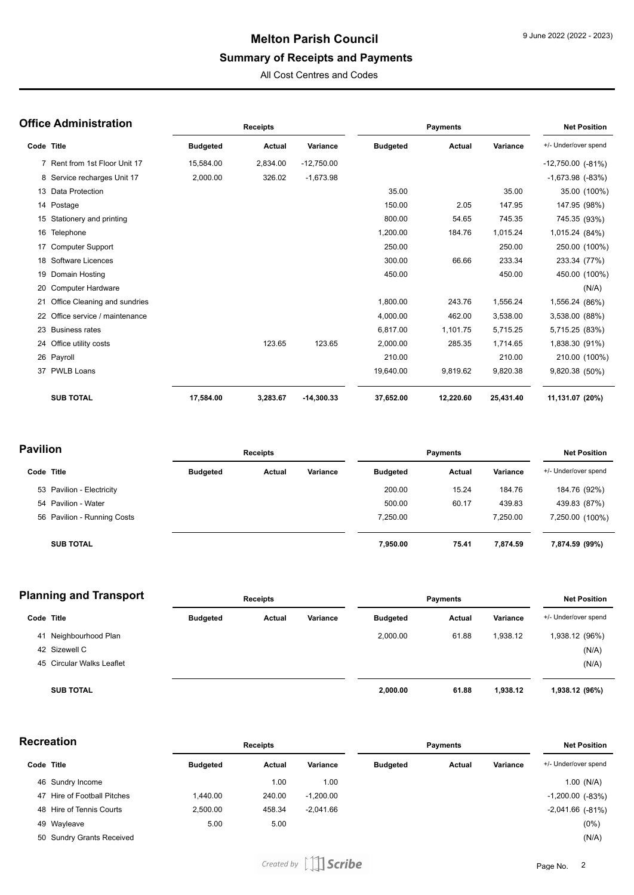#### **Melton Parish Council**

### **Summary of Receipts and Payments**

All Cost Centres and Codes

|            | )ffice Administration        |                 | <b>Receipts</b> |              |                 | <b>Payments</b> |           |                       |  |
|------------|------------------------------|-----------------|-----------------|--------------|-----------------|-----------------|-----------|-----------------------|--|
| Code Title |                              | <b>Budgeted</b> | Actual          | Variance     | <b>Budgeted</b> | <b>Actual</b>   | Variance  | +/- Under/over spend  |  |
|            | Rent from 1st Floor Unit 17  | 15,584.00       | 2,834.00        | $-12,750.00$ |                 |                 |           | $-12,750.00$ $(-81%)$ |  |
| 8          | Service recharges Unit 17    | 2,000.00        | 326.02          | $-1,673.98$  |                 |                 |           | $-1,673.98$ $(-83%)$  |  |
| 13         | Data Protection              |                 |                 |              | 35.00           |                 | 35.00     | 35.00 (100%)          |  |
|            | 14 Postage                   |                 |                 |              | 150.00          | 2.05            | 147.95    | 147.95 (98%)          |  |
| 15         | Stationery and printing      |                 |                 |              | 800.00          | 54.65           | 745.35    | 745.35 (93%)          |  |
| 16         | Telephone                    |                 |                 |              | 1,200.00        | 184.76          | 1,015.24  | 1,015.24 (84%)        |  |
| 17         | <b>Computer Support</b>      |                 |                 |              | 250.00          |                 | 250.00    | 250.00 (100%)         |  |
| 18         | Software Licences            |                 |                 |              | 300.00          | 66.66           | 233.34    | 233.34 (77%)          |  |
| 19         | Domain Hosting               |                 |                 |              | 450.00          |                 | 450.00    | 450.00 (100%)         |  |
| 20         | <b>Computer Hardware</b>     |                 |                 |              |                 |                 |           | (N/A)                 |  |
| 21         | Office Cleaning and sundries |                 |                 |              | 1,800.00        | 243.76          | 1,556.24  | 1,556.24 (86%)        |  |
| 22         | Office service / maintenance |                 |                 |              | 4,000.00        | 462.00          | 3,538.00  | 3,538.00 (88%)        |  |
| 23         | <b>Business rates</b>        |                 |                 |              | 6,817.00        | 1,101.75        | 5,715.25  | 5,715.25 (83%)        |  |
| 24         | Office utility costs         |                 | 123.65          | 123.65       | 2,000.00        | 285.35          | 1,714.65  | 1,838.30 (91%)        |  |
|            | 26 Payroll                   |                 |                 |              | 210.00          |                 | 210.00    | 210.00 (100%)         |  |
|            | 37 PWLB Loans                |                 |                 |              | 19,640.00       | 9,819.62        | 9,820.38  | 9,820.38 (50%)        |  |
|            | <b>SUB TOTAL</b>             | 17,584.00       | 3,283.67        | $-14,300.33$ | 37,652.00       | 12,220.60       | 25,431.40 | 11,131.07 (20%)       |  |

| <b>Pavilion</b> |                             | <b>Receipts</b> |        |          | Payments        | <b>Net Position</b> |          |                      |
|-----------------|-----------------------------|-----------------|--------|----------|-----------------|---------------------|----------|----------------------|
| Code Title      |                             | <b>Budgeted</b> | Actual | Variance | <b>Budgeted</b> | Actual              | Variance | +/- Under/over spend |
|                 | 53 Pavilion - Electricity   |                 |        |          | 200.00          | 15.24               | 184.76   | 184.76 (92%)         |
|                 | 54 Pavilion - Water         |                 |        |          | 500.00          | 60.17               | 439.83   | 439.83 (87%)         |
|                 | 56 Pavilion - Running Costs |                 |        |          | 7,250.00        |                     | 7.250.00 | 7,250.00 (100%)      |
|                 | <b>SUB TOTAL</b>            |                 |        |          | 7,950.00        | 75.41               | 7,874.59 | 7,874.59 (99%)       |

| <b>Planning and Transport</b> |                           | <b>Receipts</b> |        |          | <b>Payments</b> |        |          | <b>Net Position</b>  |  |
|-------------------------------|---------------------------|-----------------|--------|----------|-----------------|--------|----------|----------------------|--|
| Code Title                    |                           | <b>Budgeted</b> | Actual | Variance | <b>Budgeted</b> | Actual | Variance | +/- Under/over spend |  |
| 41                            | Neighbourhood Plan        |                 |        |          | 2,000.00        | 61.88  | 1.938.12 | 1,938.12 (96%)       |  |
|                               | 42 Sizewell C             |                 |        |          |                 |        |          | (N/A)                |  |
|                               | 45 Circular Walks Leaflet |                 |        |          |                 |        |          | (N/A)                |  |
|                               | <b>SUB TOTAL</b>          |                 |        |          | 2,000.00        | 61.88  | 1.938.12 | 1,938.12 (96%)       |  |

**Recreation Code Title Budgeted Actual Variance Receipts Payments Budgeted Actual Variance Net Position** +/- Under/over spend 46 Sundry Income 1.00 1.00 1.00 (N/A) 47 Hire of Football Pitches 1,440.00 240.00 -1,200.00 -1,200.00 (-83%) 48 Hire of Tennis Courts 2,500.00 458.34 - 2,041.66 -2,041.66 -2,041.66 -2,041.66 -2,041.66 -2,041.66 49 Wayleave 5.00 5.00 (0%) 50 Sundry Grants Received (N/A)